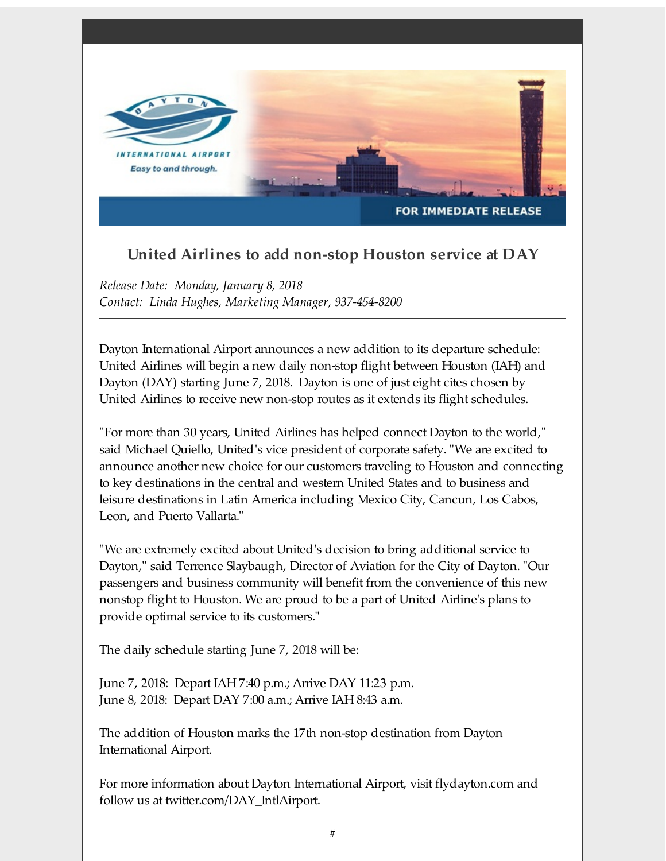

## **United Airlines to add non-stop Houston service at DAY**

*Release Date: Monday, January 8, 2018 Contact: Linda Hughes, Marketing Manager, 937-454-8200*

Dayton International Airport announces a new addition to its departure schedule: United Airlines will begin a new daily non-stop flight between Houston (IAH) and Dayton (DAY) starting June 7, 2018. Dayton is one of just eight cites chosen by United Airlines to receive new non-stop routes as it extends its flight schedules.

"For more than 30 years, United Airlines has helped connect Dayton to the world," said Michael Quiello, United's vice president of corporate safety. "We are excited to announce another new choice for our customers traveling to Houston and connecting to key destinations in the central and western United States and to business and leisure destinations in Latin America including Mexico City, Cancun, Los Cabos, Leon, and Puerto Vallarta."

"We are extremely excited about United's decision to bring additional service to Dayton," said Terrence Slaybaugh, Director of Aviation for the City of Dayton. "Our passengers and business community will benefit from the convenience of this new nonstop flight to Houston. We are proud to be a part of United Airline's plans to provide optimal service to its customers."

The daily schedule starting June 7, 2018 will be:

June 7, 2018: Depart IAH 7:40 p.m.; Arrive DAY 11:23 p.m. June 8, 2018: Depart DAY 7:00 a.m.; Arrive IAH 8:43 a.m.

The addition of Houston marks the 17th non-stop destination from Dayton International Airport.

For more information about Dayton International Airport, visit flydayton.com and follow us at twitter.com/DAY\_IntlAirport.